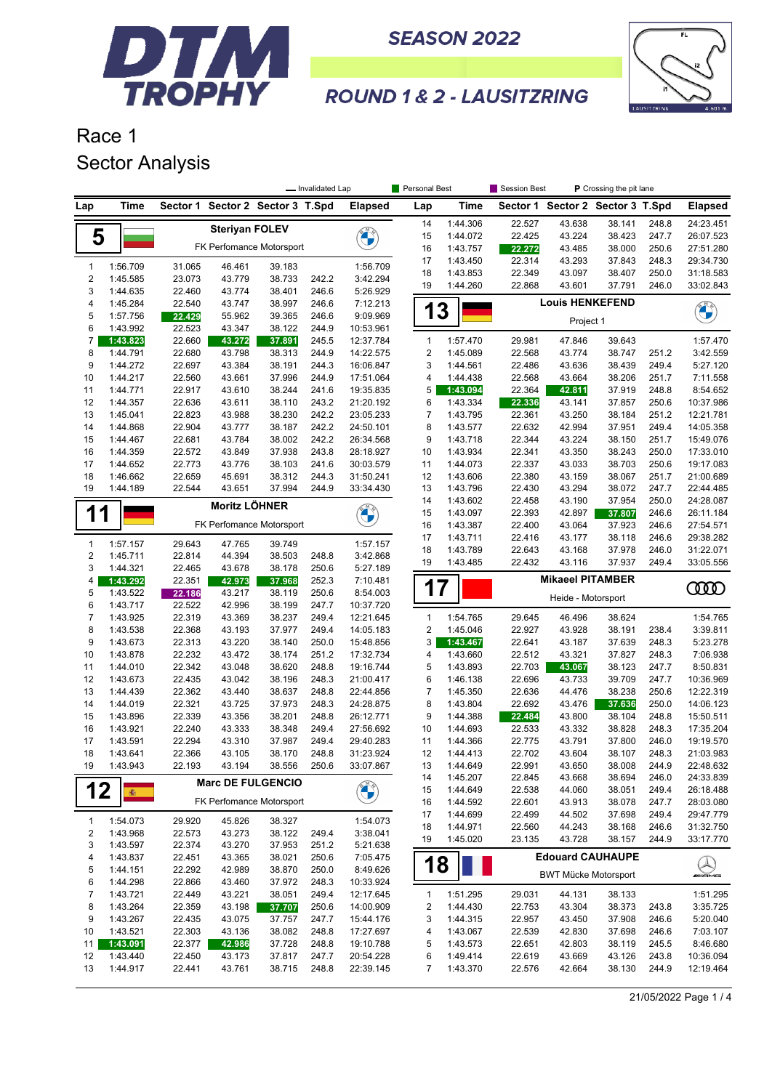



#### **ROUND 1 & 2 - LAUSITZRING**

### Race 1 Sector Analysis

|                  |                      |                  |                       |                          | - Invalidated Lap |                        | Personal Best  |                      | Session Best     |                         | P Crossing the pit lane          |                |                        |
|------------------|----------------------|------------------|-----------------------|--------------------------|-------------------|------------------------|----------------|----------------------|------------------|-------------------------|----------------------------------|----------------|------------------------|
| Lap              | <b>Time</b>          | Sector 1         |                       | Sector 2 Sector 3 T.Spd  |                   | <b>Elapsed</b>         | Lap            | Time                 |                  |                         | Sector 1 Sector 2 Sector 3 T.Spd |                | <b>Elapsed</b>         |
|                  |                      |                  | <b>Steriyan FOLEV</b> |                          |                   |                        | 14             | 1:44.306             | 22.527           | 43.638                  | 38.141                           | 248.8          | 24:23.451              |
| 5                |                      |                  |                       |                          |                   | <b>CONTROL</b>         | 15             | 1:44.072             | 22.425           | 43.224                  | 38.423                           | 247.7          | 26:07.523              |
|                  |                      |                  |                       | FK Perfomance Motorsport |                   |                        | 16             | 1:43.757             | 22.272           | 43.485                  | 38.000                           | 250.6          | 27:51.280              |
| $\mathbf{1}$     | 1:56.709             | 31.065           | 46.461                | 39.183                   |                   | 1:56.709               | 17             | 1:43.450             | 22.314           | 43.293                  | 37.843                           | 248.3          | 29:34.730              |
| $\boldsymbol{2}$ | 1:45.585             | 23.073           | 43.779                | 38.733                   | 242.2             | 3:42.294               | 18             | 1:43.853             | 22.349           | 43.097                  | 38.407                           | 250.0          | 31:18.583              |
| 3                | 1:44.635             | 22.460           | 43.774                | 38.401                   | 246.6             | 5:26.929               | 19             | 1:44.260             | 22.868           | 43.601                  | 37.791                           | 246.0          | 33:02.843              |
| 4                | 1:45.284             | 22.540           | 43.747                | 38.997                   | 246.6             | 7:12.213               |                |                      |                  | <b>Louis HENKEFEND</b>  |                                  |                |                        |
| 5                | 1:57.756             | 22.429           | 55.962                | 39.365                   | 246.6             | 9:09.969               | 1              | 3                    |                  |                         |                                  |                | <b>CHANGE</b>          |
| 6                | 1:43.992             | 22.523           | 43.347                | 38.122                   | 244.9             | 10:53.961              |                |                      |                  | Project 1               |                                  |                |                        |
| $\overline{7}$   | 1:43.823             | 22.660           | 43.272                | 37.891                   | 245.5             | 12:37.784              | $\mathbf{1}$   | 1:57.470             | 29.981           | 47.846                  | 39.643                           |                | 1:57.470               |
| 8                | 1:44.791             | 22.680           | 43.798                | 38.313                   | 244.9             | 14:22.575              | $\sqrt{2}$     | 1:45.089             | 22.568           | 43.774                  | 38.747                           | 251.2          | 3:42.559               |
| 9                | 1:44.272             | 22.697           | 43.384                | 38.191                   | 244.3             | 16:06.847              | 3              | 1:44.561             | 22.486           | 43.636                  | 38.439                           | 249.4          | 5:27.120               |
| 10               | 1:44.217             | 22.560           | 43.661                | 37.996                   | 244.9             | 17:51.064              | 4              | 1:44.438             | 22.568           | 43.664                  | 38.206                           | 251.7          | 7:11.558               |
| 11               | 1:44.771             | 22.917           | 43.610                | 38.244                   | 241.6             | 19:35.835              | 5              | 1:43.094             | 22.364           | 42.811                  | 37.919                           | 248.8          | 8:54.652               |
| 12               | 1:44.357             | 22.636           | 43.611                | 38.110                   | 243.2             | 21:20.192              | 6              | 1:43.334             | 22.336           | 43.141                  | 37.857                           | 250.6          | 10:37.986              |
| 13               | 1:45.041             | 22.823           | 43.988                | 38.230                   | 242.2             | 23:05.233              | 7              | 1:43.795             | 22.361           | 43.250                  | 38.184                           | 251.2          | 12:21.781              |
| 14               | 1:44.868             | 22.904           | 43.777                | 38.187                   | 242.2             | 24:50.101              | 8              | 1:43.577             | 22.632           | 42.994                  | 37.951                           | 249.4          | 14:05.358              |
| 15               | 1:44.467             | 22.681           | 43.784                | 38.002                   | 242.2             | 26:34.568              | 9              | 1:43.718             | 22.344           | 43.224                  | 38.150                           | 251.7          | 15:49.076              |
| 16               | 1:44.359             | 22.572           | 43.849                | 37.938                   | 243.8             | 28:18.927              | 10             | 1:43.934             | 22.341           | 43.350                  | 38.243                           | 250.0          | 17:33.010              |
| 17               | 1:44.652             | 22.773           | 43.776                | 38.103                   | 241.6             | 30:03.579              | 11             | 1:44.073             | 22.337           | 43.033                  | 38.703                           | 250.6          | 19:17.083              |
| 18               | 1:46.662             | 22.659           | 45.691                | 38.312                   | 244.3             | 31:50.241              | 12             | 1:43.606             | 22.380           | 43.159                  | 38.067                           | 251.7          | 21:00.689              |
| 19               | 1:44.189             | 22.544           | 43.651                | 37.994                   | 244.9             | 33:34.430              | 13             | 1:43.796             | 22.430           | 43.294                  | 38.072                           | 247.7          | 22:44.485              |
|                  |                      |                  | <b>Moritz LÖHNER</b>  |                          |                   |                        | 14             | 1:43.602             | 22.458           | 43.190                  | 37.954                           | 250.0          | 24:28.087              |
| 1<br>1           |                      |                  |                       |                          |                   | <b>BALL</b>            | 15             | 1:43.097             | 22.393           | 42.897                  | 37.807                           | 246.6          | 26:11.184              |
|                  |                      |                  |                       | FK Perfomance Motorsport |                   |                        | 16             | 1:43.387             | 22.400           | 43.064                  | 37.923                           | 246.6          | 27:54.571              |
| $\mathbf{1}$     | 1:57.157             | 29.643           | 47.765                | 39.749                   |                   | 1:57.157               | 17             | 1:43.711             | 22.416           | 43.177                  | 38.118                           | 246.6          | 29:38.282              |
| $\sqrt{2}$       | 1:45.711             | 22.814           | 44.394                | 38.503                   | 248.8             | 3:42.868               | 18             | 1:43.789             | 22.643           | 43.168                  | 37.978                           | 246.0          | 31:22.071              |
| 3                | 1:44.321             | 22.465           | 43.678                | 38.178                   | 250.6             | 5:27.189               | 19             | 1:43.485             | 22.432           | 43.116                  | 37.937                           | 249.4          | 33:05.556              |
| 4                | 1:43.292             | 22.351           | 42.973                | 37.968                   | 252.3             | 7:10.481               |                |                      |                  | <b>Mikaeel PITAMBER</b> |                                  |                |                        |
| 5                | 1:43.522             | 22.186           | 43.217                | 38.119                   | 250.6             | 8:54.003               | 17             |                      |                  | Heide - Motorsport      |                                  |                | 0000                   |
| 6                | 1:43.717             | 22.522           | 42.996                | 38.199                   | 247.7             | 10:37.720              |                |                      |                  |                         |                                  |                |                        |
| $\overline{7}$   | 1:43.925             | 22.319           | 43.369                | 38.237                   | 249.4             | 12:21.645              | $\mathbf{1}$   | 1:54.765             | 29.645           | 46.496                  | 38.624                           |                | 1:54.765               |
| 8                | 1:43.538             | 22.368           | 43.193                | 37.977                   | 249.4             | 14:05.183              | $\overline{2}$ | 1:45.046             | 22.927           | 43.928                  | 38.191                           | 238.4          | 3:39.811               |
| 9                | 1:43.673             | 22.313           | 43.220                | 38.140                   | 250.0             | 15:48.856              | 3              | 1:43.467             | 22.641           | 43.187                  | 37.639                           | 248.3          | 5:23.278               |
| 10               | 1:43.878             | 22.232           | 43.472                | 38.174                   | 251.2             | 17:32.734              | 4              | 1:43.660             | 22.512           | 43.321                  | 37.827                           | 248.3          | 7:06.938               |
| 11               | 1:44.010             | 22.342           | 43.048                | 38.620                   | 248.8             | 19:16.744              | 5              | 1:43.893             | 22.703           | 43.067                  | 38.123                           | 247.7          | 8:50.831               |
| 12               | 1:43.673             | 22.435           | 43.042                | 38.196                   | 248.3             | 21:00.417              | 6              | 1:46.138             | 22.696           | 43.733                  | 39.709                           | 247.7          | 10:36.969              |
| 13               | 1:44.439             | 22.362           | 43.440                | 38.637                   | 248.8             | 22:44.856              | 7              | 1:45.350             | 22.636           | 44.476                  | 38.238                           | 250.6          | 12:22.319              |
| 14               | 1:44.019             | 22.321           | 43.725                | 37.973                   | 248.3             | 24:28.875              | 8              | 1:43.804             | 22.692           | 43.476                  | 37.636                           | 250.0          | 14:06.123              |
| 15<br>16         | 1:43.896             | 22.339           | 43.356                | 38.201                   | 248.8             | 26:12.771              | 9              | 1:44.388             | 22.484           | 43.800                  | 38.104                           | 248.8          | 15:50.511              |
| 17               | 1:43.921<br>1:43.591 | 22.240<br>22.294 | 43.333<br>43.310      | 38.348<br>37.987         | 249.4<br>249.4    | 27:56.692<br>29:40.283 | 10<br>11       | 1:44.693<br>1:44.366 | 22.533<br>22.775 | 43.332<br>43.791        | 38.828<br>37.800                 | 248.3<br>246.0 | 17:35.204<br>19:19.570 |
| 18               | 1:43.641             | 22.366           | 43.105                | 38.170                   | 248.8             | 31:23.924              | 12             | 1:44.413             | 22.702           | 43.604                  | 38.107                           | 248.3          | 21:03.983              |
| 19               | 1:43.943             | 22.193           | 43.194                | 38.556                   | 250.6             | 33:07.867              | 13             | 1:44.649             | 22.991           | 43.650                  | 38.008                           | 244.9          | 22:48.632              |
|                  |                      |                  |                       |                          |                   |                        | 14             | 1:45.207             | 22.845           | 43.668                  | 38.694                           | 246.0          | 24:33.839              |
| 12               |                      |                  |                       | <b>Marc DE FULGENCIO</b> |                   | <b>CALLES</b>          | 15             | 1:44.649             | 22.538           | 44.060                  | 38.051                           | 249.4          | 26:18.488              |
|                  | 廊                    |                  |                       | FK Perfomance Motorsport |                   |                        | 16             | 1:44.592             | 22.601           | 43.913                  | 38.078                           | 247.7          | 28:03.080              |
|                  |                      |                  |                       |                          |                   |                        | 17             | 1:44.699             | 22.499           | 44.502                  | 37.698                           | 249.4          | 29:47.779              |
| $\mathbf{1}$     | 1:54.073             | 29.920           | 45.826                | 38.327                   |                   | 1:54.073               | 18             | 1:44.971             | 22.560           | 44.243                  | 38.168                           | 246.6          | 31:32.750              |
| 2                | 1:43.968             | 22.573           | 43.273                | 38.122                   | 249.4             | 3:38.041               | 19             | 1:45.020             | 23.135           | 43.728                  | 38.157                           | 244.9          | 33:17.770              |
| 3                | 1:43.597             | 22.374           | 43.270                | 37.953                   | 251.2             | 5:21.638               |                |                      |                  |                         |                                  |                |                        |
| 4                | 1:43.837             | 22.451           | 43.365                | 38.021                   | 250.6             | 7:05.475               | 18             |                      |                  |                         | <b>Edouard CAUHAUPE</b>          |                |                        |
| 5                | 1:44.151             | 22.292           | 42.989                | 38.870                   | 250.0             | 8:49.626               |                |                      |                  |                         | <b>BWT Mücke Motorsport</b>      |                | <b>ANGELANDE</b>       |
| 6                | 1:44.298             | 22.866           | 43.460                | 37.972                   | 248.3             | 10:33.924              |                |                      |                  |                         |                                  |                |                        |
| 7                | 1:43.721             | 22.449           | 43.221                | 38.051                   | 249.4             | 12:17.645              | $\mathbf{1}$   | 1:51.295             | 29.031           | 44.131                  | 38.133                           |                | 1:51.295               |
| 8                | 1:43.264             | 22.359           | 43.198                | 37.707                   | 250.6             | 14:00.909              | 2              | 1:44.430             | 22.753           | 43.304                  | 38.373                           | 243.8          | 3:35.725               |
| 9                | 1:43.267<br>1:43.521 | 22.435<br>22.303 | 43.075                | 37.757                   | 247.7             | 15:44.176              | 3              | 1:44.315             | 22.957<br>22.539 | 43.450                  | 37.908                           | 246.6          | 5:20.040               |
| 10<br>11         | 1:43.091             | 22.377           | 43.136                | 38.082<br>37.728         | 248.8<br>248.8    | 17:27.697<br>19:10.788 | 4<br>5         | 1:43.067<br>1:43.573 | 22.651           | 42.830<br>42.803        | 37.698<br>38.119                 | 246.6<br>245.5 | 7:03.107<br>8:46.680   |
| 12               | 1:43.440             | 22.450           | 42.986<br>43.173      | 37.817                   | 247.7             | 20:54.228              | 6              | 1:49.414             | 22.619           | 43.669                  | 43.126                           | 243.8          | 10:36.094              |
| 13               | 1:44.917             | 22.441           | 43.761                | 38.715                   | 248.8             | 22:39.145              | 7              | 1:43.370             | 22.576           | 42.664                  | 38.130                           | 244.9          | 12:19.464              |
|                  |                      |                  |                       |                          |                   |                        |                |                      |                  |                         |                                  |                |                        |

21/05/2022 Page 1 / 4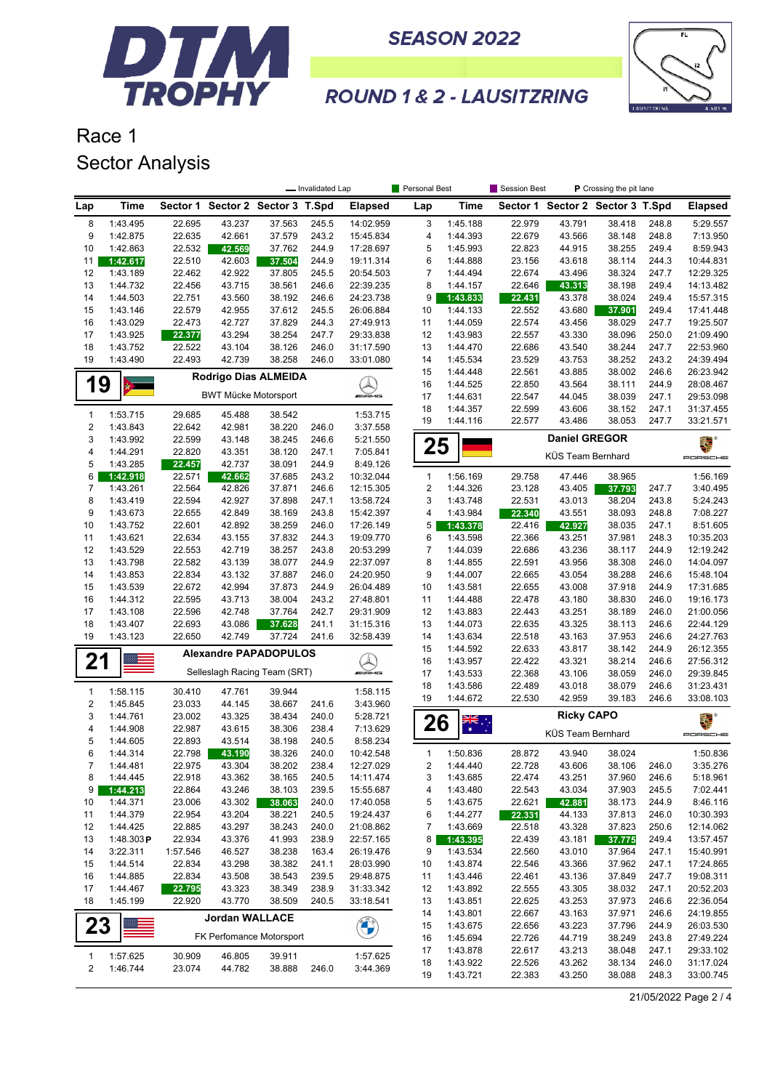



### **ROUND 1 & 2 - LAUSITZRING**

# Race 1 Sector Analysis

|                |                      |                  |                                  |                  | - Invalidated Lap |                        | Personal Best  |                      | Session Best     |                      | P Crossing the pit lane          |                |                        |
|----------------|----------------------|------------------|----------------------------------|------------------|-------------------|------------------------|----------------|----------------------|------------------|----------------------|----------------------------------|----------------|------------------------|
| Lap            | <b>Time</b>          |                  | Sector 1 Sector 2 Sector 3 T.Spd |                  |                   | <b>Elapsed</b>         | Lap            | Time                 |                  |                      | Sector 1 Sector 2 Sector 3 T.Spd |                | <b>Elapsed</b>         |
| 8              | 1:43.495             | 22.695           | 43.237                           | 37.563           | 245.5             | 14:02.959              | 3              | 1:45.188             | 22.979           | 43.791               | 38.418                           | 248.8          | 5:29.557               |
| 9              | 1:42.875             | 22.635           | 42.661                           | 37.579           | 243.2             | 15:45.834              | 4              | 1:44.393             | 22.679           | 43.566               | 38.148                           | 248.8          | 7:13.950               |
| 10             | 1:42.863             | 22.532           | 42.569                           | 37.762           | 244.9             | 17:28.697              | 5              | 1:45.993             | 22.823           | 44.915               | 38.255                           | 249.4          | 8:59.943               |
| 11             | 1:42.617             | 22.510           | 42.603                           | 37.504           | 244.9             | 19:11.314              | 6              | 1:44.888             | 23.156           | 43.618               | 38.114                           | 244.3          | 10:44.831              |
| 12             | 1:43.189             | 22.462           | 42.922                           | 37.805           | 245.5             | 20:54.503              | 7              | 1:44.494             | 22.674           | 43.496               | 38.324                           | 247.7          | 12:29.325              |
| 13             | 1:44.732             | 22.456           | 43.715                           | 38.561           | 246.6             | 22:39.235              | 8              | 1:44.157             | 22.646           | 43.313               | 38.198                           | 249.4          | 14:13.482              |
| 14<br>15       | 1:44.503<br>1:43.146 | 22.751<br>22.579 | 43.560<br>42.955                 | 38.192<br>37.612 | 246.6<br>245.5    | 24:23.738<br>26:06.884 | 9<br>10        | 1:43.833<br>1:44.133 | 22.431<br>22.552 | 43.378<br>43.680     | 38.024                           | 249.4<br>249.4 | 15:57.315<br>17:41.448 |
| 16             | 1:43.029             | 22.473           | 42.727                           | 37.829           | 244.3             | 27:49.913              | 11             | 1:44.059             | 22.574           | 43.456               | 37.901<br>38.029                 | 247.7          | 19:25.507              |
| 17             | 1:43.925             | 22.377           | 43.294                           | 38.254           | 247.7             | 29:33.838              | 12             | 1:43.983             | 22.557           | 43.330               | 38.096                           | 250.0          | 21:09.490              |
| 18             | 1:43.752             | 22.522           | 43.104                           | 38.126           | 246.0             | 31:17.590              | 13             | 1:44.470             | 22.686           | 43.540               | 38.244                           | 247.7          | 22:53.960              |
| 19             | 1:43.490             | 22.493           | 42.739                           | 38.258           | 246.0             | 33:01.080              | 14             | 1:45.534             | 23.529           | 43.753               | 38.252                           | 243.2          | 24:39.494              |
|                |                      |                  | Rodrigo Dias ALMEIDA             |                  |                   |                        | 15             | 1:44.448             | 22.561           | 43.885               | 38.002                           | 246.6          | 26:23.942              |
| 19             |                      |                  |                                  |                  |                   |                        | 16             | 1:44.525             | 22.850           | 43.564               | 38.111                           | 244.9          | 28:08.467              |
|                |                      |                  | <b>BWT Mücke Motorsport</b>      |                  |                   | <b><i>UNI</i>AME</b>   | 17             | 1:44.631             | 22.547           | 44.045               | 38.039                           | 247.1          | 29:53.098              |
| $\mathbf{1}$   | 1:53.715             | 29.685           | 45.488                           | 38.542           |                   | 1:53.715               | 18             | 1:44.357             | 22.599           | 43.606               | 38.152                           | 247.1          | 31:37.455              |
| $\sqrt{2}$     | 1:43.843             | 22.642           | 42.981                           | 38.220           | 246.0             | 3:37.558               | 19             | 1:44.116             | 22.577           | 43.486               | 38.053                           | 247.7          | 33:21.571              |
| 3              | 1:43.992             | 22.599           | 43.148                           | 38.245           | 246.6             | 5:21.550               |                |                      |                  | <b>Daniel GREGOR</b> |                                  |                | 電                      |
| 4              | 1:44.291             | 22.820           | 43.351                           | 38.120           | 247.1             | 7:05.841               | 25             |                      |                  | KÜS Team Bernhard    |                                  |                | PORSCHE                |
| 5              | 1:43.285             | 22.457           | 42.737                           | 38.091           | 244.9             | 8:49.126               |                |                      |                  |                      |                                  |                |                        |
| 6              | 1:42.918             | 22.571           | 42.662                           | 37.685           | 243.2             | 10:32.044              | $\mathbf{1}$   | 1:56.169             | 29.758           | 47.446               | 38.965                           |                | 1:56.169               |
| 7              | 1:43.261             | 22.564           | 42.826                           | 37.871           | 246.6             | 12:15.305              | $\overline{c}$ | 1:44.326             | 23.128           | 43.405               | 37.793                           | 247.7          | 3:40.495               |
| 8              | 1:43.419             | 22.594           | 42.927                           | 37.898           | 247.1             | 13:58.724              | 3              | 1:43.748             | 22.531           | 43.013               | 38.204                           | 243.8          | 5:24.243               |
| 9              | 1:43.673             | 22.655           | 42.849                           | 38.169           | 243.8             | 15:42.397              | 4              | 1:43.984             | 22.340           | 43.551               | 38.093                           | 248.8          | 7:08.227               |
| 10<br>11       | 1:43.752<br>1:43.621 | 22.601<br>22.634 | 42.892<br>43.155                 | 38.259<br>37.832 | 246.0<br>244.3    | 17:26.149<br>19:09.770 | 5              | 1:43.378<br>1:43.598 | 22.416<br>22.366 | 42.927<br>43.251     | 38.035<br>37.981                 | 247.1<br>248.3 | 8:51.605<br>10:35.203  |
| 12             | 1:43.529             | 22.553           | 42.719                           | 38.257           | 243.8             | 20:53.299              | 6<br>7         | 1:44.039             | 22.686           | 43.236               | 38.117                           | 244.9          | 12:19.242              |
| 13             | 1:43.798             | 22.582           | 43.139                           | 38.077           | 244.9             | 22:37.097              | 8              | 1:44.855             | 22.591           | 43.956               | 38.308                           | 246.0          | 14:04.097              |
| 14             | 1:43.853             | 22.834           | 43.132                           | 37.887           | 246.0             | 24:20.950              | 9              | 1:44.007             | 22.665           | 43.054               | 38.288                           | 246.6          | 15:48.104              |
| 15             | 1:43.539             | 22.672           | 42.994                           | 37.873           | 244.9             | 26:04.489              | 10             | 1:43.581             | 22.655           | 43.008               | 37.918                           | 244.9          | 17:31.685              |
| 16             | 1:44.312             | 22.595           | 43.713                           | 38.004           | 243.2             | 27:48.801              | 11             | 1:44.488             | 22.478           | 43.180               | 38.830                           | 246.0          | 19:16.173              |
| 17             | 1:43.108             | 22.596           | 42.748                           | 37.764           | 242.7             | 29:31.909              | 12             | 1:43.883             | 22.443           | 43.251               | 38.189                           | 246.0          | 21:00.056              |
| 18             | 1:43.407             | 22.693           | 43.086                           | 37.628           | 241.1             | 31:15.316              | 13             | 1:44.073             | 22.635           | 43.325               | 38.113                           | 246.6          | 22:44.129              |
| 19             | 1:43.123             | 22.650           | 42.749                           | 37.724           | 241.6             | 32:58.439              | 14             | 1:43.634             | 22.518           | 43.163               | 37.953                           | 246.6          | 24:27.763              |
|                |                      |                  | <b>Alexandre PAPADOPULOS</b>     |                  |                   |                        | 15             | 1:44.592             | 22.633           | 43.817               | 38.142                           | 244.9          | 26:12.355              |
| 21             |                      |                  |                                  |                  |                   |                        | 16             | 1:43.957             | 22.422           | 43.321               | 38.214                           | 246.6          | 27:56.312              |
|                |                      |                  | Selleslagh Racing Team (SRT)     |                  |                   | <b><i>INNE</i></b>     | 17             | 1:43.533             | 22.368           | 43.106               | 38.059                           | 246.0          | 29:39.845              |
| $\mathbf{1}$   | 1:58.115             | 30.410           | 47.761                           | 39.944           |                   | 1:58.115               | 18<br>19       | 1:43.586<br>1:44.672 | 22.489<br>22.530 | 43.018<br>42.959     | 38.079<br>39.183                 | 246.6<br>246.6 | 31:23.431<br>33:08.103 |
| $\sqrt{2}$     | 1:45.845             | 23.033           | 44.145                           | 38.667           | 241.6             | 3:43.960               |                |                      |                  |                      |                                  |                |                        |
| 3              | 1:44.761             | 23.002           | 43.325                           | 38.434           | 240.0             | 5:28.721               | 26             | ्रें                 |                  | <b>Ricky CAPO</b>    |                                  |                | 舞台                     |
| 4              | 1:44.908             | 22.987           | 43.615                           | 38.306           | 238.4             | 7:13.629               |                |                      |                  | KÜS Team Bernhard    |                                  |                | PORSCHE                |
| 5              | 1:44.605             | 22.893           | 43.514                           | 38.198           | 240.5             | 8:58.234               |                |                      |                  |                      |                                  |                |                        |
| 6<br>7         | 1:44.314<br>1:44.481 | 22.798<br>22.975 | 43.190<br>43.304                 | 38.326<br>38.202 | 240.0<br>238.4    | 10:42.548<br>12:27.029 | 1<br>2         | 1:50.836<br>1:44.440 | 28.872<br>22.728 | 43.940<br>43.606     | 38.024<br>38.106                 | 246.0          | 1:50.836<br>3:35.276   |
| 8              | 1:44.445             | 22.918           | 43.362                           | 38.165           | 240.5             | 14:11.474              | 3              | 1:43.685             | 22.474           | 43.251               | 37.960                           | 246.6          | 5:18.961               |
| 9              | 1:44.213             | 22.864           | 43.246                           | 38.103           | 239.5             | 15:55.687              | 4              | 1:43.480             | 22.543           | 43.034               | 37.903                           | 245.5          | 7:02.441               |
| 10             | 1:44.371             | 23.006           | 43.302                           | 38.063           | 240.0             | 17:40.058              | 5              | 1:43.675             | 22.621           | 42.881               | 38.173                           | 244.9          | 8:46.116               |
| 11             | 1:44.379             | 22.954           | 43.204                           | 38.221           | 240.5             | 19:24.437              | 6              | 1:44.277             | 22.331           | 44.133               | 37.813                           | 246.0          | 10:30.393              |
| 12             | 1:44.425             | 22.885           | 43.297                           | 38.243           | 240.0             | 21:08.862              | 7              | 1:43.669             | 22.518           | 43.328               | 37.823                           | 250.6          | 12:14.062              |
| 13             | 1:48.303P            | 22.934           | 43.376                           | 41.993           | 238.9             | 22:57.165              | 8              | 1:43.395             | 22.439           | 43.181               | 37.775                           | 249.4          | 13:57.457              |
| 14             | 3:22.311             | 1:57.546         | 46.527                           | 38.238           | 163.4             | 26:19.476              | 9              | 1:43.534             | 22.560           | 43.010               | 37.964                           | 247.1          | 15:40.991              |
| 15             | 1:44.514             | 22.834           | 43.298                           | 38.382           | 241.1             | 28:03.990              | 10             | 1:43.874             | 22.546           | 43.366               | 37.962                           | 247.1          | 17:24.865              |
| 16             | 1:44.885             | 22.834           | 43.508                           | 38.543           | 239.5             | 29:48.875              | 11             | 1:43.446             | 22.461           | 43.136               | 37.849                           | 247.7          | 19:08.311              |
| 17             | 1:44.467             | 22.795           | 43.323                           | 38.349           | 238.9             | 31:33.342              | 12             | 1:43.892             | 22.555           | 43.305               | 38.032                           | 247.1          | 20:52.203              |
| 18             | 1:45.199             | 22.920           | 43.770                           | 38.509           | 240.5             | 33:18.541              | 13             | 1:43.851             | 22.625           | 43.253               | 37.973                           | 246.6          | 22:36.054              |
|                |                      |                  | <b>Jordan WALLACE</b>            |                  |                   |                        | 14             | 1:43.801             | 22.667           | 43.163               | 37.971                           | 246.6          | 24:19.855              |
| 23             |                      |                  | FK Perfomance Motorsport         |                  |                   | <b>CALCIO</b>          | 15<br>16       | 1:43.675<br>1:45.694 | 22.656<br>22.726 | 43.223<br>44.719     | 37.796<br>38.249                 | 244.9<br>243.8 | 26:03.530<br>27:49.224 |
|                |                      |                  |                                  |                  |                   |                        | 17             | 1:43.878             | 22.617           | 43.213               | 38.048                           | 247.1          | 29:33.102              |
| $\mathbf{1}$   | 1:57.625             | 30.909           | 46.805                           | 39.911           |                   | 1:57.625               | 18             | 1:43.922             | 22.526           | 43.262               | 38.134                           | 246.0          | 31:17.024              |
| $\overline{2}$ | 1:46.744             | 23.074           | 44.782                           | 38.888           | 246.0             | 3:44.369               | 19             | 1:43.721             | 22.383           | 43.250               | 38.088                           | 248.3          | 33:00.745              |

21/05/2022 Page 2 / 4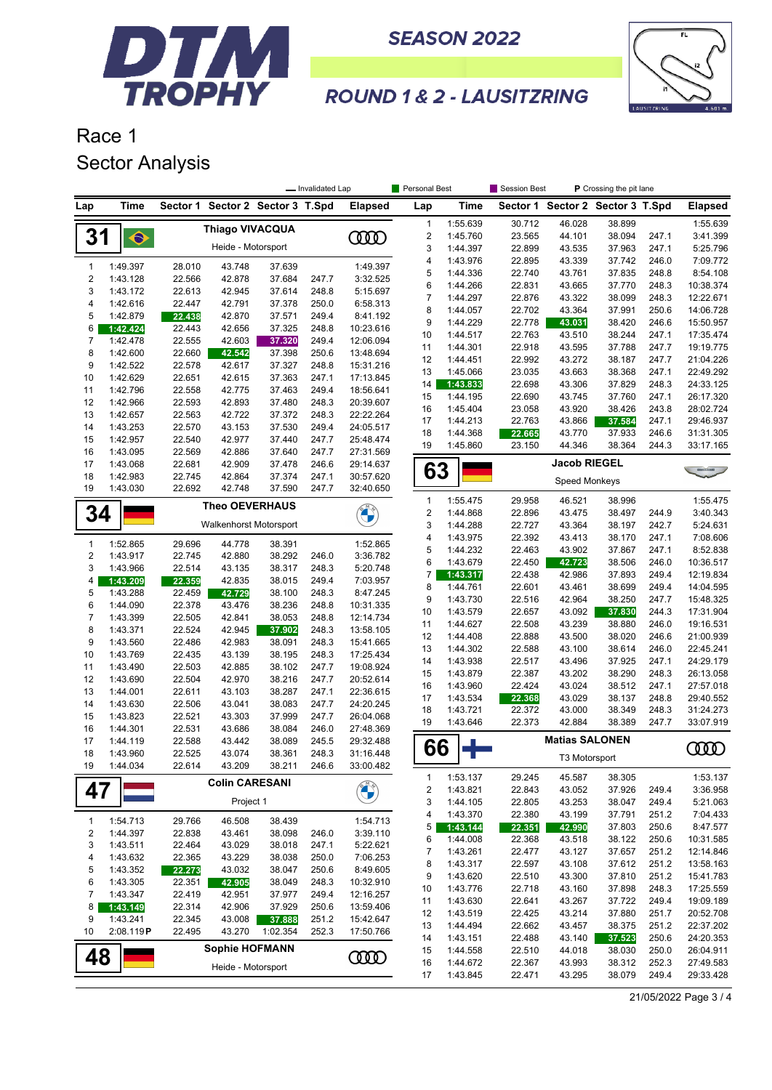



## **ROUND 1 & 2 - LAUSITZRING**

### Race 1 Sector Analysis

|                         |                      |                  |                                  |                  | - Invalidated Lap |                        | Personal Best    |                      | Session Best     |                       | P Crossing the pit lane          |                |                        |
|-------------------------|----------------------|------------------|----------------------------------|------------------|-------------------|------------------------|------------------|----------------------|------------------|-----------------------|----------------------------------|----------------|------------------------|
| Lap                     | Time                 |                  | Sector 1 Sector 2 Sector 3 T.Spd |                  |                   | <b>Elapsed</b>         | Lap              | Time                 |                  |                       | Sector 1 Sector 2 Sector 3 T.Spd |                | <b>Elapsed</b>         |
|                         |                      |                  | <b>Thiago VIVACQUA</b>           |                  |                   |                        | $\mathbf{1}$     | 1:55.639             | 30.712           | 46.028                | 38.899                           |                | 1:55.639               |
| 31                      | $\hat{\bullet}$      |                  |                                  |                  |                   | <b>COO</b>             | $\sqrt{2}$       | 1:45.760             | 23.565           | 44.101                | 38.094                           | 247.1          | 3:41.399               |
|                         |                      |                  | Heide - Motorsport               |                  |                   |                        | 3                | 1:44.397             | 22.899           | 43.535                | 37.963                           | 247.1          | 5:25.796               |
| $\mathbf{1}$            | 1:49.397             | 28.010           | 43.748                           | 37.639           |                   | 1:49.397               | 4                | 1:43.976             | 22.895           | 43.339                | 37.742                           | 246.0          | 7:09.772               |
| $\overline{2}$          | 1:43.128             | 22.566           | 42.878                           | 37.684           | 247.7             | 3:32.525               | 5                | 1:44.336             | 22.740           | 43.761                | 37.835                           | 248.8          | 8:54.108               |
| 3                       | 1:43.172             | 22.613           | 42.945                           | 37.614           | 248.8             | 5:15.697               | 6                | 1:44.266             | 22.831           | 43.665                | 37.770                           | 248.3          | 10:38.374              |
| 4                       | 1:42.616             | 22.447           | 42.791                           | 37.378           | 250.0             | 6:58.313               | $\overline{7}$   | 1:44.297             | 22.876           | 43.322                | 38.099                           | 248.3          | 12:22.671              |
| 5                       | 1:42.879             | 22.438           | 42.870                           | 37.571           | 249.4             | 8:41.192               | 8<br>9           | 1:44.057<br>1:44.229 | 22.702<br>22.778 | 43.364<br>43.031      | 37.991<br>38.420                 | 250.6<br>246.6 | 14:06.728<br>15:50.957 |
| 6                       | 1:42.424             | 22.443           | 42.656                           | 37.325           | 248.8             | 10:23.616              | 10               | 1:44.517             | 22.763           | 43.510                | 38.244                           | 247.1          | 17:35.474              |
| 7                       | 1:42.478             | 22.555           | 42.603                           | 37.320           | 249.4             | 12:06.094              | 11               | 1:44.301             | 22.918           | 43.595                | 37.788                           | 247.7          | 19:19.775              |
| 8                       | 1:42.600             | 22.660           | 42.542                           | 37.398           | 250.6             | 13:48.694              | 12               | 1:44.451             | 22.992           | 43.272                | 38.187                           | 247.7          | 21:04.226              |
| 9                       | 1:42.522             | 22.578           | 42.617                           | 37.327           | 248.8             | 15:31.216              | 13               | 1:45.066             | 23.035           | 43.663                | 38.368                           | 247.1          | 22:49.292              |
| 10                      | 1:42.629             | 22.651           | 42.615                           | 37.363           | 247.1             | 17:13.845              | 14               | 1:43.833             | 22.698           | 43.306                | 37.829                           | 248.3          | 24:33.125              |
| 11                      | 1:42.796             | 22.558           | 42.775                           | 37.463           | 249.4             | 18:56.641              | 15               | 1:44.195             | 22.690           | 43.745                | 37.760                           | 247.1          | 26:17.320              |
| 12<br>13                | 1:42.966<br>1:42.657 | 22.593<br>22.563 | 42.893<br>42.722                 | 37.480<br>37.372 | 248.3<br>248.3    | 20:39.607<br>22:22.264 | 16               | 1:45.404             | 23.058           | 43.920                | 38.426                           | 243.8          | 28:02.724              |
| 14                      | 1:43.253             | 22.570           | 43.153                           | 37.530           | 249.4             | 24:05.517              | 17               | 1:44.213             | 22.763           | 43.866                | 37.584                           | 247.1          | 29:46.937              |
| 15                      | 1:42.957             | 22.540           | 42.977                           | 37.440           | 247.7             | 25:48.474              | 18               | 1:44.368             | 22.665           | 43.770                | 37.933                           | 246.6          | 31:31.305              |
| 16                      | 1:43.095             | 22.569           | 42.886                           | 37.640           | 247.7             | 27:31.569              | 19               | 1:45.860             | 23.150           | 44.346                | 38.364                           | 244.3          | 33:17.165              |
| 17                      | 1:43.068             | 22.681           | 42.909                           | 37.478           | 246.6             | 29:14.637              |                  |                      |                  | <b>Jacob RIEGEL</b>   |                                  |                |                        |
| 18                      | 1:42.983             | 22.745           | 42.864                           | 37.374           | 247.1             | 30:57.620              | 63               |                      |                  |                       |                                  |                |                        |
| 19                      | 1:43.030             | 22.692           | 42.748                           | 37.590           | 247.7             | 32:40.650              |                  |                      |                  | <b>Speed Monkeys</b>  |                                  |                |                        |
|                         |                      |                  | <b>Theo OEVERHAUS</b>            |                  |                   |                        | $\mathbf{1}$     | 1:55.475             | 29.958           | 46.521                | 38.996                           |                | 1:55.475               |
| 34                      |                      |                  |                                  |                  |                   | <b>BALL</b>            | $\boldsymbol{2}$ | 1:44.868             | 22.896           | 43.475                | 38.497                           | 244.9          | 3:40.343               |
|                         |                      |                  | Walkenhorst Motorsport           |                  |                   |                        | 3                | 1:44.288             | 22.727           | 43.364                | 38.197                           | 242.7          | 5:24.631               |
| 1                       | 1:52.865             | 29.696           | 44.778                           | 38.391           |                   | 1:52.865               | 4                | 1:43.975             | 22.392           | 43.413                | 38.170                           | 247.1          | 7:08.606               |
| $\overline{2}$          | 1:43.917             | 22.745           | 42.880                           | 38.292           | 246.0             | 3:36.782               | 5                | 1:44.232             | 22.463           | 43.902                | 37.867                           | 247.1          | 8:52.838               |
| 3                       | 1:43.966             | 22.514           | 43.135                           | 38.317           | 248.3             | 5:20.748               | 6                | 1:43.679             | 22.450           | 42.723                | 38.506                           | 246.0          | 10:36.517              |
| 4                       | 1:43.209             | 22.359           | 42.835                           | 38.015           | 249.4             | 7:03.957               | 7<br>8           | 1:43.317<br>1:44.761 | 22.438<br>22.601 | 42.986<br>43.461      | 37.893<br>38.699                 | 249.4<br>249.4 | 12:19.834<br>14:04.595 |
| 5                       | 1:43.288             | 22.459           | 42.729                           | 38.100           | 248.3             | 8:47.245               | 9                | 1:43.730             | 22.516           | 42.964                | 38.250                           | 247.7          | 15:48.325              |
| 6                       | 1:44.090             | 22.378           | 43.476                           | 38.236           | 248.8             | 10:31.335              | 10               | 1:43.579             | 22.657           | 43.092                | 37.830                           | 244.3          | 17:31.904              |
| $\overline{7}$          | 1:43.399             | 22.505           | 42.841                           | 38.053           | 248.8             | 12:14.734              | 11               | 1:44.627             | 22.508           | 43.239                | 38.880                           | 246.0          | 19:16.531              |
| 8                       | 1:43.371             | 22.524           | 42.945                           | 37.902           | 248.3             | 13:58.105              | 12               | 1:44.408             | 22.888           | 43.500                | 38.020                           | 246.6          | 21:00.939              |
| 9                       | 1:43.560             | 22.486           | 42.983                           | 38.091           | 248.3             | 15:41.665              | 13               | 1:44.302             | 22.588           | 43.100                | 38.614                           | 246.0          | 22:45.241              |
| 10                      | 1:43.769             | 22.435           | 43.139                           | 38.195           | 248.3             | 17:25.434              | 14               | 1:43.938             | 22.517           | 43.496                | 37.925                           | 247.1          | 24:29.179              |
| 11<br>12                | 1:43.490             | 22.503           | 42.885                           | 38.102           | 247.7             | 19:08.924              | 15               | 1:43.879             | 22.387           | 43.202                | 38.290                           | 248.3          | 26:13.058              |
| 13                      | 1:43.690<br>1:44.001 | 22.504<br>22.611 | 42.970<br>43.103                 | 38.216<br>38.287 | 247.7<br>247.1    | 20:52.614<br>22:36.615 | 16               | 1:43.960             | 22.424           | 43.024                | 38.512                           | 247.1          | 27:57.018              |
| 14                      | 1:43.630             | 22.506           | 43.041                           | 38.083           | 247.7             | 24:20.245              | 17               | 1:43.534             | 22.368           | 43.029                | 38.137                           | 248.8          | 29:40.552              |
| 15                      | 1:43.823             | 22.521           | 43.303                           | 37.999           | 247.7             | 26:04.068              | 18               | 1:43.721             | 22.372           | 43.000                | 38.349                           | 248.3          | 31:24.273              |
| 16                      | 1:44.301             | 22.531           | 43.686                           | 38.084           | 246.0             | 27:48.369              | 19               | 1:43.646             | 22.373           | 42.884                | 38.389                           | 247.7          | 33:07.919              |
| 17                      | 1:44.119             | 22.588           | 43.442                           | 38.089           | 245.5             | 29:32.488              |                  |                      |                  | <b>Matias SALONEN</b> |                                  |                |                        |
| 18                      | 1:43.960             | 22.525           | 43.074                           | 38.361           | 248.3             | 31:16.448              | 66               |                      |                  | T3 Motorsport         |                                  |                | ന്ത                    |
| 19                      | 1:44.034             | 22.614           | 43.209                           | 38.211           | 246.6             | 33:00.482              |                  |                      |                  |                       |                                  |                |                        |
|                         |                      |                  | <b>Colin CARESANI</b>            |                  |                   |                        | 1                | 1:53.137             | 29.245           | 45.587                | 38.305                           |                | 1:53.137               |
| 47                      |                      |                  |                                  |                  |                   | <b>CONTRACTOR</b>      | 2                | 1:43.821             | 22.843           | 43.052                | 37.926                           | 249.4          | 3:36.958               |
|                         |                      |                  | Project 1                        |                  |                   |                        | 3                | 1:44.105             | 22.805           | 43.253                | 38.047                           | 249.4          | 5:21.063               |
| 1                       | 1:54.713             | 29.766           | 46.508                           | 38.439           |                   | 1:54.713               | 4                | 1:43.370             | 22.380           | 43.199                | 37.791                           | 251.2          | 7:04.433               |
| $\overline{\mathbf{c}}$ | 1:44.397             | 22.838           | 43.461                           | 38.098           | 246.0             | 3:39.110               | 5<br>6           | 1:43.144<br>1:44.008 | 22.351<br>22.368 | 42.990<br>43.518      | 37.803<br>38.122                 | 250.6<br>250.6 | 8:47.577<br>10:31.585  |
| 3                       | 1:43.511             | 22.464           | 43.029                           | 38.018           | 247.1             | 5:22.621               | 7                | 1:43.261             | 22.477           | 43.127                | 37.657                           | 251.2          | 12:14.846              |
| 4                       | 1:43.632             | 22.365           | 43.229                           | 38.038           | 250.0             | 7:06.253               | 8                | 1:43.317             | 22.597           | 43.108                | 37.612                           | 251.2          | 13:58.163              |
| 5                       | 1:43.352             | 22.273           | 43.032                           | 38.047           | 250.6             | 8:49.605               | 9                | 1:43.620             | 22.510           | 43.300                | 37.810                           | 251.2          | 15:41.783              |
| 6                       | 1:43.305             | 22.351           | 42.905                           | 38.049           | 248.3             | 10:32.910              | 10               | 1:43.776             | 22.718           | 43.160                | 37.898                           | 248.3          | 17:25.559              |
| 7                       | 1:43.347             | 22.419           | 42.951                           | 37.977           | 249.4             | 12:16.257              | 11               | 1:43.630             | 22.641           | 43.267                | 37.722                           | 249.4          | 19:09.189              |
| 8                       | 1:43.149             | 22.314           | 42.906                           | 37.929           | 250.6             | 13:59.406              | 12               | 1:43.519             | 22.425           | 43.214                | 37.880                           | 251.7          | 20:52.708              |
| 9                       | 1:43.241             | 22.345           | 43.008                           | 37.888           | 251.2             | 15:42.647              | 13               | 1:44.494             | 22.662           | 43.457                | 38.375                           | 251.2          | 22:37.202              |
| 10                      | 2:08.119P            | 22.495           | 43.270                           | 1:02.354         | 252.3             | 17:50.766              | 14               | 1:43.151             | 22.488           | 43.140                | 37.523                           | 250.6          | 24:20.353              |
| 48                      |                      |                  | <b>Sophie HOFMANN</b>            |                  |                   |                        | 15               | 1:44.558             | 22.510           | 44.018                | 38.030                           | 250.0          | 26:04.911              |
|                         |                      |                  | Heide - Motorsport               |                  |                   | <b>COOD</b>            | 16               | 1:44.672             | 22.367           | 43.993                | 38.312                           | 252.3          | 27:49.583              |
|                         |                      |                  |                                  |                  |                   |                        | 17               | 1:43.845             | 22.471           | 43.295                | 38.079                           | 249.4          | 29:33.428              |

21/05/2022 Page 3 / 4